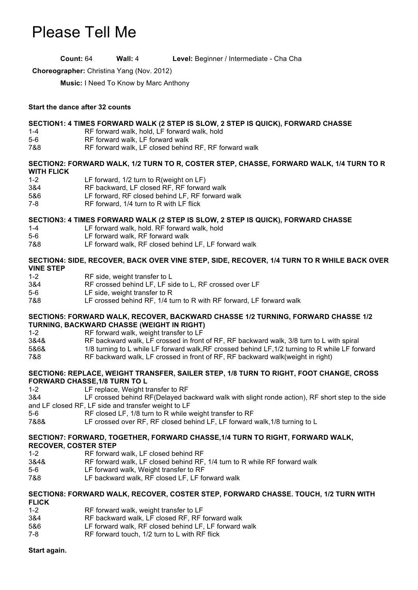# Please Tell Me

**Count:** 64 **Wall:** 4 **Level:** Beginner / Intermediate - Cha Cha

**Choreographer:** Christina Yang (Nov. 2012)

**Music:** I Need To Know by Marc Anthony

# **Start the dance after 32 counts**

# **SECTION1: 4 TIMES FORWARD WALK (2 STEP IS SLOW, 2 STEP IS QUICK), FORWARD CHASSE**

- 1-4 RF forward walk, hold, LF forward walk, hold
- 5-6 RF forward walk, LF forward walk
- 7&8 RF forward walk, LF closed behind RF, RF forward walk

#### **SECTION2: FORWARD WALK, 1/2 TURN TO R, COSTER STEP, CHASSE, FORWARD WALK, 1/4 TURN TO R WITH FLICK**

- 1-2 **LF forward, 1/2 turn to R(weight on LF)**<br>3&4 RF backward. LF closed RF. RF forwar
- RF backward, LF closed RF, RF forward walk
- 5&6 LF forward, RF closed behind LF, RF forward walk
- 7-8 RF forward, 1/4 turn to R with LF flick

# **SECTION3: 4 TIMES FORWARD WALK (2 STEP IS SLOW, 2 STEP IS QUICK), FORWARD CHASSE**

- 1-4 LF forward walk, hold. RF forward walk, hold
- 5-6 LF forward walk, RF forward walk
- 7&8 LF forward walk, RF closed behind LF, LF forward walk

# **SECTION4: SIDE, RECOVER, BACK OVER VINE STEP, SIDE, RECOVER, 1/4 TURN TO R WHILE BACK OVER VINE STEP**

- 1-2 RF side, weight transfer to L
- 3&4 RF crossed behind LF, LF side to L, RF crossed over LF
- 5-6 LF side, weight transfer to R
- 7&8 LF crossed behind RF, 1/4 turn to R with RF forward, LF forward walk

#### **SECTION5: FORWARD WALK, RECOVER, BACKWARD CHASSE 1/2 TURNING, FORWARD CHASSE 1/2 TURNING, BACKWARD CHASSE (WEIGHT IN RIGHT)**

- 1-2 RF forward walk, weight transfer to LF
- 3&4& RF backward walk, LF crossed in front of RF, RF backward walk, 3/8 turn to L with spiral
- 1/8 turning to L while LF forward walk, RF crossed behind LF, 1/2 turning to R while LF forward
- 7&8 RF backward walk, LF crossed in front of RF, RF backward walk(weight in right)

#### **SECTION6: REPLACE, WEIGHT TRANSFER, SAILER STEP, 1/8 TURN TO RIGHT, FOOT CHANGE, CROSS FORWARD CHASSE,1/8 TURN TO L**

- 1-2 LF replace, Weight transfer to RF
- 3&4 LF crossed behind RF(Delayed backward walk with slight ronde action), RF short step to the side and LF closed RF, LF side and transfer weight to LF
- 5-6 RF closed LF, 1/8 turn to R while weight transfer to RF
- 7&8& LF crossed over RF, RF closed behind LF, LF forward walk,1/8 turning to L

#### **SECTION7: FORWARD, TOGETHER, FORWARD CHASSE,1/4 TURN TO RIGHT, FORWARD WALK, RECOVER, COSTER STEP**

- 1-2 RF forward walk, LF closed behind RF
- 3&4& RF forward walk, LF closed behind RF, 1/4 turn to R while RF forward walk
- 5-6 LF forward walk, Weight transfer to RF
- 7&8 LF backward walk, RF closed LF, LF forward walk

# **SECTION8: FORWARD WALK, RECOVER, COSTER STEP, FORWARD CHASSE. TOUCH, 1/2 TURN WITH FLICK**

- RF forward walk, weight transfer to LF
- 3&4 RF backward walk, LF closed RF, RF forward walk
- 5&6 LF forward walk, RF closed behind LF, LF forward walk
- 7-8 RF forward touch, 1/2 turn to L with RF flick

# **Start again.**